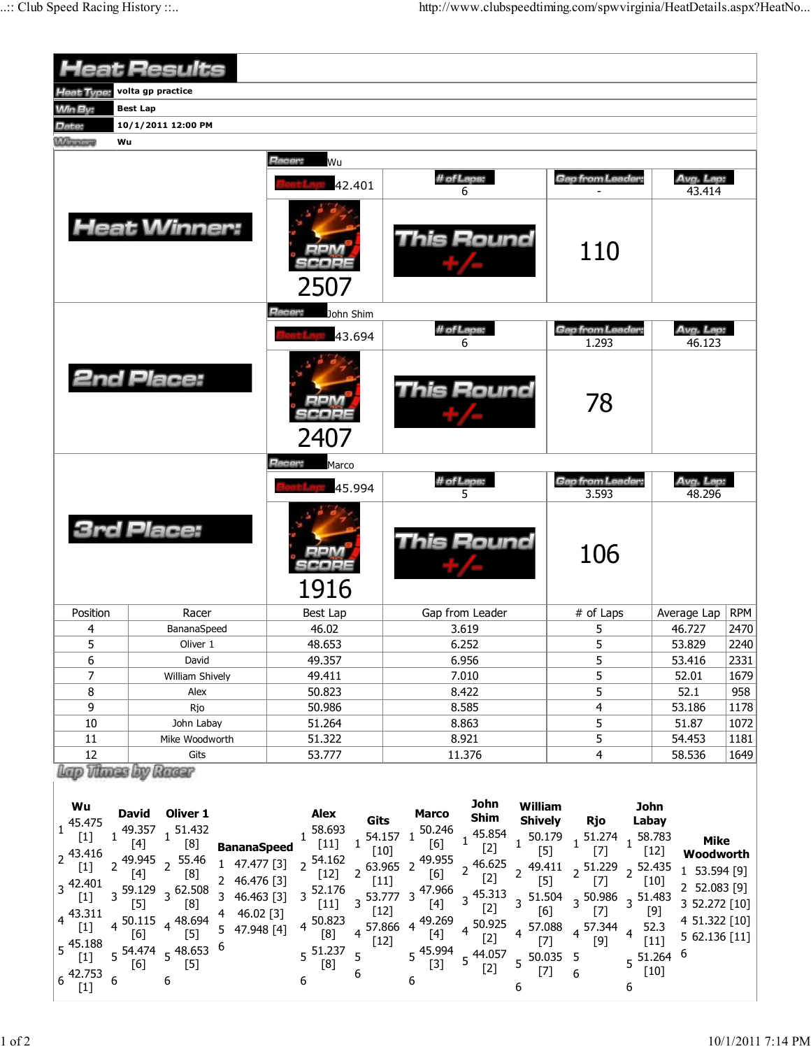|                                                                                                                                                                                                                                                                                                                                                                                                                                                                                                                                                                                                                                                                                                         | <b>Heat Results</b>                                                                                                                                                                                                                                                                          |                                                                                                                                                                                                                                                                                                                                                                                                                        |                                                                                                                                                                                                                                                                                                                                                                                                                                                                                                                                                                                                                                                                                                          |                                                                                                                                                                                                 |                                                                                                                                                   |            |  |
|---------------------------------------------------------------------------------------------------------------------------------------------------------------------------------------------------------------------------------------------------------------------------------------------------------------------------------------------------------------------------------------------------------------------------------------------------------------------------------------------------------------------------------------------------------------------------------------------------------------------------------------------------------------------------------------------------------|----------------------------------------------------------------------------------------------------------------------------------------------------------------------------------------------------------------------------------------------------------------------------------------------|------------------------------------------------------------------------------------------------------------------------------------------------------------------------------------------------------------------------------------------------------------------------------------------------------------------------------------------------------------------------------------------------------------------------|----------------------------------------------------------------------------------------------------------------------------------------------------------------------------------------------------------------------------------------------------------------------------------------------------------------------------------------------------------------------------------------------------------------------------------------------------------------------------------------------------------------------------------------------------------------------------------------------------------------------------------------------------------------------------------------------------------|-------------------------------------------------------------------------------------------------------------------------------------------------------------------------------------------------|---------------------------------------------------------------------------------------------------------------------------------------------------|------------|--|
| <b>Heat Type:</b>                                                                                                                                                                                                                                                                                                                                                                                                                                                                                                                                                                                                                                                                                       | volta gp practice                                                                                                                                                                                                                                                                            |                                                                                                                                                                                                                                                                                                                                                                                                                        |                                                                                                                                                                                                                                                                                                                                                                                                                                                                                                                                                                                                                                                                                                          |                                                                                                                                                                                                 |                                                                                                                                                   |            |  |
| <b>Win By:</b>                                                                                                                                                                                                                                                                                                                                                                                                                                                                                                                                                                                                                                                                                          | <b>Best Lap</b>                                                                                                                                                                                                                                                                              |                                                                                                                                                                                                                                                                                                                                                                                                                        |                                                                                                                                                                                                                                                                                                                                                                                                                                                                                                                                                                                                                                                                                                          |                                                                                                                                                                                                 |                                                                                                                                                   |            |  |
| Date:                                                                                                                                                                                                                                                                                                                                                                                                                                                                                                                                                                                                                                                                                                   | 10/1/2011 12:00 PM                                                                                                                                                                                                                                                                           |                                                                                                                                                                                                                                                                                                                                                                                                                        |                                                                                                                                                                                                                                                                                                                                                                                                                                                                                                                                                                                                                                                                                                          |                                                                                                                                                                                                 |                                                                                                                                                   |            |  |
| <b><i><u>UManingo</u></i></b>                                                                                                                                                                                                                                                                                                                                                                                                                                                                                                                                                                                                                                                                           | Wu                                                                                                                                                                                                                                                                                           |                                                                                                                                                                                                                                                                                                                                                                                                                        |                                                                                                                                                                                                                                                                                                                                                                                                                                                                                                                                                                                                                                                                                                          |                                                                                                                                                                                                 |                                                                                                                                                   |            |  |
|                                                                                                                                                                                                                                                                                                                                                                                                                                                                                                                                                                                                                                                                                                         |                                                                                                                                                                                                                                                                                              | Racer:<br>Wu                                                                                                                                                                                                                                                                                                                                                                                                           |                                                                                                                                                                                                                                                                                                                                                                                                                                                                                                                                                                                                                                                                                                          |                                                                                                                                                                                                 |                                                                                                                                                   |            |  |
|                                                                                                                                                                                                                                                                                                                                                                                                                                                                                                                                                                                                                                                                                                         |                                                                                                                                                                                                                                                                                              | 42.401                                                                                                                                                                                                                                                                                                                                                                                                                 | # of Laps:<br>6                                                                                                                                                                                                                                                                                                                                                                                                                                                                                                                                                                                                                                                                                          | <b>Gap from Leader:</b>                                                                                                                                                                         | Avg. Lap:<br>43.414                                                                                                                               |            |  |
| <b>Heat Winner:</b>                                                                                                                                                                                                                                                                                                                                                                                                                                                                                                                                                                                                                                                                                     |                                                                                                                                                                                                                                                                                              | 2507                                                                                                                                                                                                                                                                                                                                                                                                                   | This Round                                                                                                                                                                                                                                                                                                                                                                                                                                                                                                                                                                                                                                                                                               | 110                                                                                                                                                                                             |                                                                                                                                                   |            |  |
|                                                                                                                                                                                                                                                                                                                                                                                                                                                                                                                                                                                                                                                                                                         |                                                                                                                                                                                                                                                                                              | Hacer:<br>John Shim                                                                                                                                                                                                                                                                                                                                                                                                    |                                                                                                                                                                                                                                                                                                                                                                                                                                                                                                                                                                                                                                                                                                          |                                                                                                                                                                                                 |                                                                                                                                                   |            |  |
|                                                                                                                                                                                                                                                                                                                                                                                                                                                                                                                                                                                                                                                                                                         |                                                                                                                                                                                                                                                                                              |                                                                                                                                                                                                                                                                                                                                                                                                                        | # of Laps:                                                                                                                                                                                                                                                                                                                                                                                                                                                                                                                                                                                                                                                                                               | <b>Gap from Leader:</b>                                                                                                                                                                         | Avg. Lap:                                                                                                                                         |            |  |
|                                                                                                                                                                                                                                                                                                                                                                                                                                                                                                                                                                                                                                                                                                         |                                                                                                                                                                                                                                                                                              | 43.694                                                                                                                                                                                                                                                                                                                                                                                                                 | 6                                                                                                                                                                                                                                                                                                                                                                                                                                                                                                                                                                                                                                                                                                        | 1.293                                                                                                                                                                                           | 46.123                                                                                                                                            |            |  |
|                                                                                                                                                                                                                                                                                                                                                                                                                                                                                                                                                                                                                                                                                                         | <b>2nd Place:</b>                                                                                                                                                                                                                                                                            | 2407                                                                                                                                                                                                                                                                                                                                                                                                                   | <b>This Round</b>                                                                                                                                                                                                                                                                                                                                                                                                                                                                                                                                                                                                                                                                                        | 78                                                                                                                                                                                              |                                                                                                                                                   |            |  |
|                                                                                                                                                                                                                                                                                                                                                                                                                                                                                                                                                                                                                                                                                                         |                                                                                                                                                                                                                                                                                              | Racer:<br>Marco                                                                                                                                                                                                                                                                                                                                                                                                        |                                                                                                                                                                                                                                                                                                                                                                                                                                                                                                                                                                                                                                                                                                          |                                                                                                                                                                                                 |                                                                                                                                                   |            |  |
|                                                                                                                                                                                                                                                                                                                                                                                                                                                                                                                                                                                                                                                                                                         |                                                                                                                                                                                                                                                                                              | 45.994                                                                                                                                                                                                                                                                                                                                                                                                                 | # of Laps:<br>5                                                                                                                                                                                                                                                                                                                                                                                                                                                                                                                                                                                                                                                                                          | Gap from Leader:<br>3.593                                                                                                                                                                       | Avg. Lap:<br>48.296                                                                                                                               |            |  |
|                                                                                                                                                                                                                                                                                                                                                                                                                                                                                                                                                                                                                                                                                                         | <b>3rd Place:</b>                                                                                                                                                                                                                                                                            | 1916                                                                                                                                                                                                                                                                                                                                                                                                                   | This Round                                                                                                                                                                                                                                                                                                                                                                                                                                                                                                                                                                                                                                                                                               | 106                                                                                                                                                                                             |                                                                                                                                                   |            |  |
| Position                                                                                                                                                                                                                                                                                                                                                                                                                                                                                                                                                                                                                                                                                                | Racer                                                                                                                                                                                                                                                                                        | <b>Best Lap</b>                                                                                                                                                                                                                                                                                                                                                                                                        | Gap from Leader                                                                                                                                                                                                                                                                                                                                                                                                                                                                                                                                                                                                                                                                                          | # of Laps                                                                                                                                                                                       | Average Lap                                                                                                                                       | <b>RPM</b> |  |
| 4                                                                                                                                                                                                                                                                                                                                                                                                                                                                                                                                                                                                                                                                                                       | BananaSpeed                                                                                                                                                                                                                                                                                  | 46.02                                                                                                                                                                                                                                                                                                                                                                                                                  | 3.619                                                                                                                                                                                                                                                                                                                                                                                                                                                                                                                                                                                                                                                                                                    | 5                                                                                                                                                                                               | 46.727                                                                                                                                            | 2470       |  |
| 5                                                                                                                                                                                                                                                                                                                                                                                                                                                                                                                                                                                                                                                                                                       | Oliver 1                                                                                                                                                                                                                                                                                     | 48.653                                                                                                                                                                                                                                                                                                                                                                                                                 | 6.252                                                                                                                                                                                                                                                                                                                                                                                                                                                                                                                                                                                                                                                                                                    | 5                                                                                                                                                                                               | 53.829                                                                                                                                            | 2240       |  |
| 6                                                                                                                                                                                                                                                                                                                                                                                                                                                                                                                                                                                                                                                                                                       | David                                                                                                                                                                                                                                                                                        | 49.357                                                                                                                                                                                                                                                                                                                                                                                                                 | 6.956                                                                                                                                                                                                                                                                                                                                                                                                                                                                                                                                                                                                                                                                                                    | 5                                                                                                                                                                                               | 53.416                                                                                                                                            | 2331       |  |
| $\overline{7}$                                                                                                                                                                                                                                                                                                                                                                                                                                                                                                                                                                                                                                                                                          | William Shively                                                                                                                                                                                                                                                                              | 49.411                                                                                                                                                                                                                                                                                                                                                                                                                 | 7.010                                                                                                                                                                                                                                                                                                                                                                                                                                                                                                                                                                                                                                                                                                    | 5                                                                                                                                                                                               | 52.01                                                                                                                                             | 1679       |  |
| 8                                                                                                                                                                                                                                                                                                                                                                                                                                                                                                                                                                                                                                                                                                       | Alex                                                                                                                                                                                                                                                                                         | 50.823                                                                                                                                                                                                                                                                                                                                                                                                                 | 8.422                                                                                                                                                                                                                                                                                                                                                                                                                                                                                                                                                                                                                                                                                                    | 5                                                                                                                                                                                               | 52.1                                                                                                                                              | 958        |  |
| 9                                                                                                                                                                                                                                                                                                                                                                                                                                                                                                                                                                                                                                                                                                       | Rjo                                                                                                                                                                                                                                                                                          | 50.986                                                                                                                                                                                                                                                                                                                                                                                                                 | 8.585                                                                                                                                                                                                                                                                                                                                                                                                                                                                                                                                                                                                                                                                                                    | 4                                                                                                                                                                                               | 53.186                                                                                                                                            | 1178       |  |
| 10                                                                                                                                                                                                                                                                                                                                                                                                                                                                                                                                                                                                                                                                                                      | John Labay                                                                                                                                                                                                                                                                                   | 51.264                                                                                                                                                                                                                                                                                                                                                                                                                 | 8.863                                                                                                                                                                                                                                                                                                                                                                                                                                                                                                                                                                                                                                                                                                    | 5                                                                                                                                                                                               | 51.87                                                                                                                                             | 1072       |  |
| 11                                                                                                                                                                                                                                                                                                                                                                                                                                                                                                                                                                                                                                                                                                      | Mike Woodworth                                                                                                                                                                                                                                                                               | 51.322                                                                                                                                                                                                                                                                                                                                                                                                                 | 8.921                                                                                                                                                                                                                                                                                                                                                                                                                                                                                                                                                                                                                                                                                                    | 5                                                                                                                                                                                               | 54.453                                                                                                                                            | 1181       |  |
| 12                                                                                                                                                                                                                                                                                                                                                                                                                                                                                                                                                                                                                                                                                                      | Gits                                                                                                                                                                                                                                                                                         | 53.777                                                                                                                                                                                                                                                                                                                                                                                                                 | 11.376                                                                                                                                                                                                                                                                                                                                                                                                                                                                                                                                                                                                                                                                                                   | 4                                                                                                                                                                                               | 58.536                                                                                                                                            | 1649       |  |
| lap Thuss by Racer<br>John<br>William<br>John<br>Wu<br>David Oliver 1<br>Alex<br><b>Marco</b><br>Shim<br>Gits<br><b>Shively</b><br>Rjo<br>Labay<br>$1^{45.475}$<br>$\begin{array}{c} 1 \!\! \! \begin{array}{c} 49.357 \\ \text{[4]} \end{array} \!\! \! \begin{array}{c} 1 \!\! \end{array} \!\! \begin{array}{c} 51.432 \\ \text{[8]} \end{array} \!\! \end{array}$<br>58.693<br>50.246<br>45.854<br>54.157 1<br>$50.179$ $1\ 51.274$ $1\ 58.783$<br>$\mathbf{1}$<br><b>Mike</b><br>$[6]$<br>$[11]$<br>$[4]$<br>$\mathbf{1}$<br>$[2]$<br><b>BananaSpeed</b><br>$[10]$<br>$\begin{bmatrix} 5 \end{bmatrix}$ $\begin{bmatrix} 1 \end{bmatrix}$<br>$[7]$<br>$[12]$<br>$2\frac{43.416}{143}$<br>Woodworth |                                                                                                                                                                                                                                                                                              |                                                                                                                                                                                                                                                                                                                                                                                                                        |                                                                                                                                                                                                                                                                                                                                                                                                                                                                                                                                                                                                                                                                                                          |                                                                                                                                                                                                 |                                                                                                                                                   |            |  |
| $3\frac{42.401}{5}$<br>$[1]$<br>$4^{43.311}$<br>$[1]$<br>$5^{45.188}$<br>$[1]$<br>$6\begin{array}{cc} 1.753 \\ 6.711 \end{array}$ 6                                                                                                                                                                                                                                                                                                                                                                                                                                                                                                                                                                     | $2^{49.945}$ $2^{55.46}$<br>1 47.477 [3]<br>$[4]$<br>[8]<br>2 46.476 [3]<br>$3\frac{59.129}{57}$ $3\frac{62.508}{53}$<br>3 46.463 [3]<br>$[5]$<br>[8]<br>4 46.02 [3]<br>$4\frac{50.115}{551}$ 4 48.694<br>5 47.948 [4]<br>$[5]$<br>[6]<br>$5\frac{54.474}{[6]}$ $5\frac{48.653}{[5]}$ 6<br>6 | $2^{54.162}$<br>$[12]$<br>$[11]$<br>$3\frac{52.176}{5}$<br>$[11] \centering% \includegraphics[width=1\textwidth]{Figures/PN1.png} \caption{The 1000 of the $2$-thick region (black) and the 1110 (black) are shown in the left and right. The left is the same time, the right is the same time.} \label{fig7}$<br>$[12]$<br>$4^{50.823}$<br>$[8]$<br>$[12]$<br>$5\frac{51.237}{5}$<br>5<br>[8]<br>$\overline{6}$<br>6 | $2^{63.965}$ 2 $^{49.955}$<br>2 46.625<br>[2]<br>$[6]$<br>$3\begin{array}{c} 111\\ 3.777 \end{array}$ 3 $47.966$ 3 $45.313$<br>3 $\begin{array}{c} 111\\ 111 \end{array}$ 53.777 3 $\begin{bmatrix} 4\\ 1 \end{bmatrix}$ 3 $\begin{bmatrix} 2 \end{bmatrix}$<br>[6]<br>$4\frac{57.866}{1000}$ 4 49.269<br>4 50.925<br>[2]<br>4 57.088<br>[7]<br>$[4] % \begin{center} % \includegraphics[width=\linewidth]{imagesSupplemental_3.png} % \end{center} % \caption { % Our method shows the proposed method. % Our method shows the proposed method. % We have a single method to calculate the corresponding method. % } % \label{fig:example} %$<br>$5^{45.994}$<br>5 44.057<br>[2]<br>$[3]$<br>$[7]$<br>6 | 2 49.411 2 51.229 2 52.435<br>[5]<br>$[7]$<br>$3\frac{51.504}{5.61}$ $3\frac{50.986}{571}$ $3\frac{51.483}{501}$<br>$[7]$<br>4 57.344<br>$\overline{4}$<br>$[9]$<br>$5\frac{50.035}{57}$ 5<br>6 | 1 53.594 [9]<br>$[10]$<br>2 52.083 [9]<br>3 52.272 [10]<br>[9]<br>4 51.322 [10]<br>52.3<br>5 62.136 [11]<br>$[11]$<br>6<br>$5^{51.264}$<br>$[10]$ |            |  |
|                                                                                                                                                                                                                                                                                                                                                                                                                                                                                                                                                                                                                                                                                                         |                                                                                                                                                                                                                                                                                              |                                                                                                                                                                                                                                                                                                                                                                                                                        | 6                                                                                                                                                                                                                                                                                                                                                                                                                                                                                                                                                                                                                                                                                                        | 6                                                                                                                                                                                               |                                                                                                                                                   |            |  |